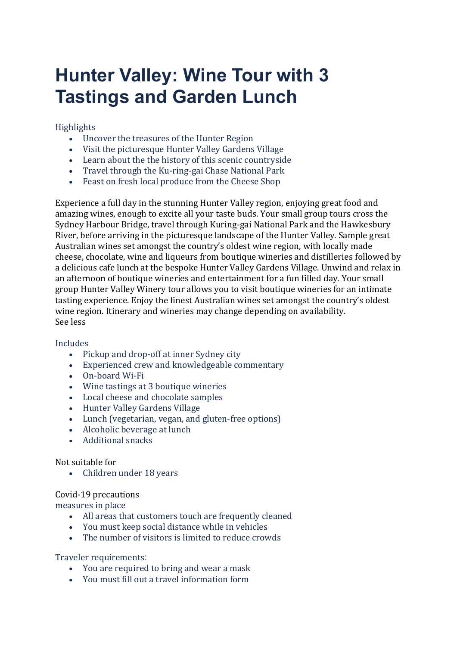# **Hunter Valley: Wine Tour with 3 Tastings and Garden Lunch**

## Highlights

- Uncover the treasures of the Hunter Region
- Visit the picturesque Hunter Valley Gardens Village
- Learn about the the history of this scenic countryside
- Travel through the Ku-ring-gai Chase National Park
- Feast on fresh local produce from the Cheese Shop

Experience a full day in the stunning Hunter Valley region, enjoying great food and amazing wines, enough to excite all your taste buds. Your small group tours cross the Sydney Harbour Bridge, travel through Kuring-gai National Park and the Hawkesbury River, before arriving in the picturesque landscape of the Hunter Valley. Sample great Australian wines set amongst the country's oldest wine region, with locally made cheese, chocolate, wine and liqueurs from boutique wineries and distilleries followed by a delicious cafe lunch at the bespoke Hunter Valley Gardens Village. Unwind and relax in an afternoon of boutique wineries and entertainment for a fun filled day. Your small group Hunter Valley Winery tour allows you to visit boutique wineries for an intimate tasting experience. Enjoy the finest Australian wines set amongst the country's oldest wine region. Itinerary and wineries may change depending on availability. See less

## Includes

- Pickup and drop-off at inner Sydney city
- Experienced crew and knowledgeable commentary
- On-board Wi-Fi
- Wine tastings at 3 boutique wineries
- Local cheese and chocolate samples
- Hunter Valley Gardens Village
- Lunch (vegetarian, vegan, and gluten-free options)
- Alcoholic beverage at lunch
- Additional snacks

#### Not suitable for

• Children under 18 years

#### Covid-19 precautions

measures in place

- All areas that customers touch are frequently cleaned
- You must keep social distance while in vehicles
- The number of visitors is limited to reduce crowds

Traveler requirements:

- You are required to bring and wear a mask
- You must fill out a travel information form